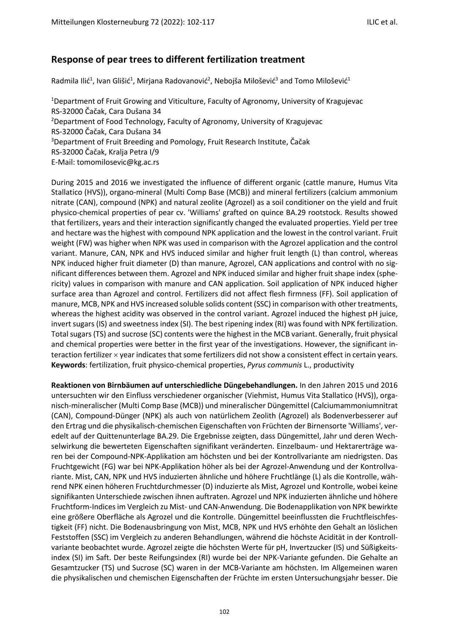## **Response of pear trees to different fertilization treatment**

Radmila Ilić<sup>1</sup>, Ivan Glišić<sup>1</sup>, Mirjana Radovanović<sup>2</sup>, Nebojša Milošević<sup>3</sup> and Tomo Milošević<sup>1</sup>

<sup>1</sup>Department of Fruit Growing and Viticulture, Faculty of Agronomy, University of Kragujevac RS-32000 Čačak, Cara Dušana 34 <sup>2</sup>Department of Food Technology, Faculty of Agronomy, University of Kragujevac RS-32000 Čačak, Cara Dušana 34 <sup>3</sup>Department of Fruit Breeding and Pomology, Fruit Research Institute, Čačak RS-32000 Čačak, Kralja Petra I/9 E-Mail: tomomilosevic@kg.ac.rs

During 2015 and 2016 we investigated the influence of different organic (cattle manure, Humus Vita Stallatico (HVS)), organo-mineral (Multi Comp Base (MCB)) and mineral fertilizers (calcium ammonium nitrate (CAN), compound (NPK) and natural zeolite (Agrozel) as a soil conditioner on the yield and fruit physico-chemical properties of pear cv. 'Williams' grafted on quince BA.29 rootstock. Results showed that fertilizers, years and their interaction significantly changed the evaluated properties. Yield per tree and hectare was the highest with compound NPK application and the lowest in the control variant. Fruit weight (FW) was higher when NPK was used in comparison with the Agrozel application and the control variant. Manure, CAN, NPK and HVS induced similar and higher fruit length (L) than control, whereas NPK induced higher fruit diameter (D) than manure, Agrozel, CAN applications and control with no significant differences between them. Agrozel and NPK induced similar and higher fruit shape index (sphericity) values in comparison with manure and CAN application. Soil application of NPK induced higher surface area than Agrozel and control. Fertilizers did not affect flesh firmness (FF). Soil application of manure, MCB, NPK and HVS increased soluble solids content (SSC) in comparison with other treatments, whereas the highest acidity was observed in the control variant. Agrozel induced the highest pH juice, invert sugars (IS) and sweetness index (SI). The best ripening index (RI) was found with NPK fertilization. Total sugars (TS) and sucrose (SC) contents were the highest in the MCB variant. Generally, fruit physical and chemical properties were better in the first year of the investigations. However, the significant interaction fertilizer × year indicates that some fertilizers did not show a consistent effect in certain years. **Keywords**: fertilization, fruit physico-chemical properties, *Pyrus communis* L., productivity

**Reaktionen von Birnbäumen auf unterschiedliche Düngebehandlungen.** In den Jahren 2015 und 2016 untersuchten wir den Einfluss verschiedener organischer (Viehmist, Humus Vita Stallatico (HVS)), organisch-mineralischer (Multi Comp Base (MCB)) und mineralischer Düngemittel (Calciumammoniumnitrat (CAN), Compound-Dünger (NPK) als auch von natürlichem Zeolith (Agrozel) als Bodenverbesserer auf den Ertrag und die physikalisch-chemischen Eigenschaften von Früchten der Birnensorte 'Williams', veredelt auf der Quittenunterlage BA.29. Die Ergebnisse zeigten, dass Düngemittel, Jahr und deren Wechselwirkung die bewerteten Eigenschaften signifikant veränderten. Einzelbaum- und Hektarerträge waren bei der Compound-NPK-Applikation am höchsten und bei der Kontrollvariante am niedrigsten. Das Fruchtgewicht (FG) war bei NPK-Applikation höher als bei der Agrozel-Anwendung und der Kontrollvariante. Mist, CAN, NPK und HVS induzierten ähnliche und höhere Fruchtlänge (L) als die Kontrolle, während NPK einen höheren Fruchtdurchmesser (D) induzierte als Mist, Agrozel und Kontrolle, wobei keine signifikanten Unterschiede zwischen ihnen auftraten. Agrozel und NPK induzierten ähnliche und höhere Fruchtform-Indices im Vergleich zu Mist- und CAN-Anwendung. Die Bodenapplikation von NPK bewirkte eine größere Oberfläche als Agrozel und die Kontrolle. Düngemittel beeinflussten die Fruchtfleischfestigkeit (FF) nicht. Die Bodenausbringung von Mist, MCB, NPK und HVS erhöhte den Gehalt an löslichen Feststoffen (SSC) im Vergleich zu anderen Behandlungen, während die höchste Acidität in der Kontrollvariante beobachtet wurde. Agrozel zeigte die höchsten Werte für pH, Invertzucker (IS) und Süßigkeitsindex (SI) im Saft. Der beste Reifungsindex (RI) wurde bei der NPK-Variante gefunden. Die Gehalte an Gesamtzucker (TS) und Sucrose (SC) waren in der MCB-Variante am höchsten. Im Allgemeinen waren die physikalischen und chemischen Eigenschaften der Früchte im ersten Untersuchungsjahr besser. Die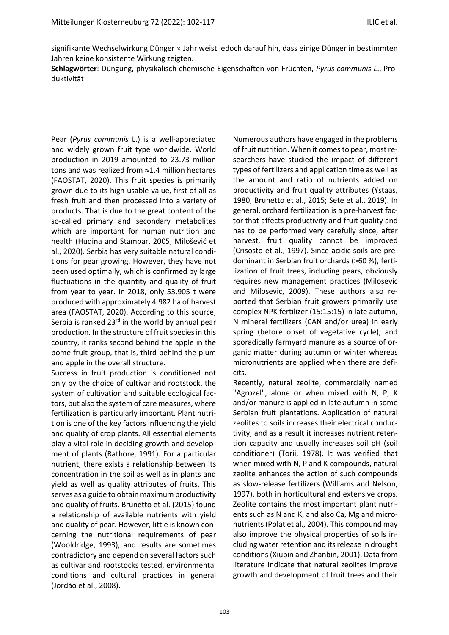signifikante Wechselwirkung Dünger  $\times$  Jahr weist jedoch darauf hin, dass einige Dünger in bestimmten Jahren keine konsistente Wirkung zeigten.

**Schlagwörter**: Düngung, physikalisch-chemische Eigenschaften von Früchten, *Pyrus communis L*., Produktivität

Pear (*Pyrus communis* L.) is a well-appreciated and widely grown fruit type worldwide. World production in 2019 amounted to 23.73 million tons and was realized from ≈1.4 million hectares (FAOSTAT, 2020). This fruit species is primarily grown due to its high usable value, first of all as fresh fruit and then processed into a variety of products. That is due to the great content of the so-called primary and secondary metabolites which are important for human nutrition and health (Hudina and Stampar, 2005; Milošević et al., 2020). Serbia has very suitable natural conditions for pear growing. However, they have not been used optimally, which is confirmed by large fluctuations in the quantity and quality of fruit from year to year. In 2018, only 53.905 t were produced with approximately 4.982 ha of harvest area (FAOSTAT, 2020). According to this source, Serbia is ranked  $23<sup>rd</sup>$  in the world by annual pear production. In the structure of fruit species in this country, it ranks second behind the apple in the pome fruit group, that is, third behind the plum and apple in the overall structure.

Success in fruit production is conditioned not only by the choice of cultivar and rootstock, the system of cultivation and suitable ecological factors, but also the system of care measures, where fertilization is particularly important. Plant nutrition is one of the key factors influencing the yield and quality of crop plants. All essential elements play a vital role in deciding growth and development of plants (Rathore, 1991). For a particular nutrient, there exists a relationship between its concentration in the soil as well as in plants and yield as well as quality attributes of fruits. This serves as a guide to obtain maximum productivity and quality of fruits. Brunetto et al. (2015) found a relationship of available nutrients with yield and quality of pear. However, little is known concerning the nutritional requirements of pear (Wooldridge, 1993), and results are sometimes contradictory and depend on several factors such as cultivar and rootstocks tested, environmental conditions and cultural practices in general (Jordão et al., 2008).

Numerous authors have engaged in the problems of fruit nutrition. When it comes to pear, most researchers have studied the impact of different types of fertilizers and application time as well as the amount and ratio of nutrients added on productivity and fruit quality attributes (Ystaas, 1980; Brunetto et al., 2015; Sete et al., 2019). In general, orchard fertilization is a pre-harvest factor that affects productivity and fruit quality and has to be performed very carefully since, after harvest, fruit quality cannot be improved (Crisosto et al., 1997). Since acidic soils are predominant in Serbian fruit orchards (>60 %), fertilization of fruit trees, including pears, obviously requires new management practices (Milosevic and Milosevic, 2009). These authors also reported that Serbian fruit growers primarily use complex NPK fertilizer (15:15:15) in late autumn, N mineral fertilizers (CAN and/or urea) in early spring (before onset of vegetative cycle), and sporadically farmyard manure as a source of organic matter during autumn or winter whereas micronutrients are applied when there are deficits.

Recently, natural zeolite, commercially named "Agrozel", alone or when mixed with N, P, K and/or manure is applied in late autumn in some Serbian fruit plantations. Application of natural zeolites to soils increases their electrical conductivity, and as a result it increases nutrient retention capacity and usually increases soil pH (soil conditioner) (Torii, 1978). It was verified that when mixed with N, P and K compounds, natural zeolite enhances the action of such compounds as slow-release fertilizers (Williams and Nelson, 1997), both in horticultural and extensive crops. Zeolite contains the most important plant nutrients such as N and K, and also Ca, Mg and micronutrients (Polat et al., 2004). This compound may also improve the physical properties of soils including water retention and its release in drought conditions(Xiubin and Zhanbin, 2001). Data from literature indicate that natural zeolites improve growth and development of fruit trees and their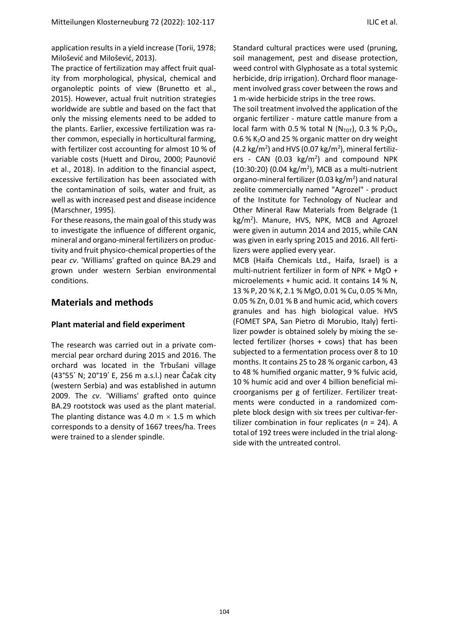application results in a yield increase (Torii, 1978; Milošević and Milošević, 2013).

The practice of fertilization may affect fruit quality from morphological, physical, chemical and organoleptic points of view (Brunetto et al., 2015). However, actual fruit nutrition strategies worldwide are subtle and based on the fact that only the missing elements need to be added to the plants. Earlier, excessive fertilization was rather common, especially in horticultural farming, with fertilizer cost accounting for almost 10 % of variable costs (Huett and Dirou, 2000; Paunović et al., 2018). In addition to the financial aspect, excessive fertilization has been associated with the contamination of soils, water and fruit, as well as with increased pest and disease incidence (Marschner, 1995).

For these reasons, the main goal of this study was to investigate the influence of different organic, mineral and organo-mineral fertilizers on productivity and fruit physico-chemical properties of the pear *cv*. 'Williams' grafted on quince BA.29 and grown under western Serbian environmental conditions.

## **Materials and methods**

## **Plant material and field experiment**

The research was carried out in a private commercial pear orchard during 2015 and 2016. The orchard was located in the Trbušani village (43°55᾿ N; 20°19᾿ E, 256 m a.s.l.) near Čačak city (western Serbia) and was established in autumn 2009. The *cv*. 'Williams' grafted onto quince BA.29 rootstock was used as the plant material. The planting distance was 4.0 m  $\times$  1.5 m which corresponds to a density of 1667 trees/ha. Trees were trained to a slender spindle.

Standard cultural practices were used (pruning, soil management, pest and disease protection, weed control with Glyphosate as a total systemic herbicide, drip irrigation). Orchard floor management involved grass cover between the rows and 1 m-wide herbicide strips in the tree rows.

The soil treatment involved the application of the organic fertilizer - mature cattle manure from a local farm with 0.5 % total N ( $N_{\text{TOT}}$ ), 0.3 % P<sub>2</sub>O<sub>5</sub>, 0.6 %  $K<sub>2</sub>$ O and 25 % organic matter on dry weight  $(4.2 \text{ kg/m}^2)$  and HVS  $(0.07 \text{ kg/m}^2)$ , mineral fertilizers - CAN (0.03  $\text{kg/m}^2$ ) and compound NPK  $(10:30:20)$   $(0.04 \text{ kg/m}^2)$ , MCB as a multi-nutrient organo-mineral fertilizer (0.03  $\text{kg/m}^2$ ) and natural zeolite commercially named "Agrozel" - product of the Institute for Technology of Nuclear and Other Mineral Raw Materials from Belgrade (1 kg/m<sup>2</sup>). Manure, HVS, NPK, MCB and Agrozel were given in autumn 2014 and 2015, while CAN was given in early spring 2015 and 2016. All fertilizers were applied every year.

MCB (Haifa Chemicals Ltd., Haifa, Israel) is a multi-nutrient fertilizer in form of NPK + MgO + microelements + humic acid. It contains 14 % N, 13 % P, 20 % K, 2.1 % MgO, 0.01 % Cu, 0.05 % Mn, 0.05 % Zn, 0.01 % B and humic acid, which covers granules and has high biological value. HVS (FOMET SPA, San Pietro di Morubio, Italy) fertilizer powder is obtained solely by mixing the selected fertilizer (horses + cows) that has been subjected to a fermentation process over 8 to 10 months. It contains 25 to 28 % organic carbon, 43 to 48 % humified organic matter, 9 % fulvic acid, 10 % humic acid and over 4 billion beneficial microorganisms per g of fertilizer. Fertilizer treatments were conducted in a randomized complete block design with six trees per cultivar-fertilizer combination in four replicates (*n* = 24). A total of 192 trees were included in the trial alongside with the untreated control.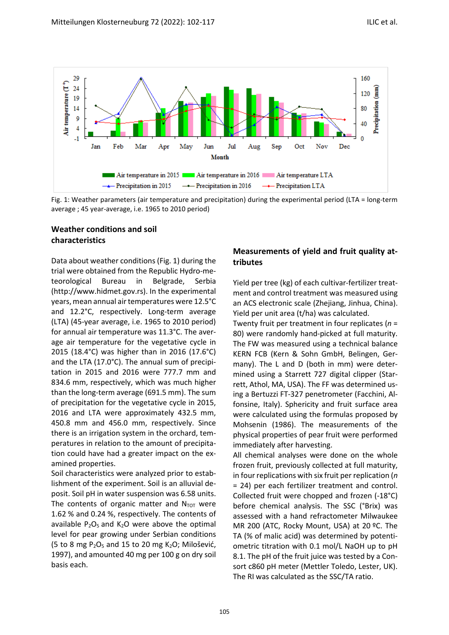

Fig. 1: Weather parameters (air temperature and precipitation) during the experimental period (LTA = long-term average ; 45 year-average, i.e. 1965 to 2010 period)

## **Weather conditions and soil characteristics**

Data about weather conditions (Fig. 1) during the trial were obtained from the Republic Hydro-meteorological Bureau in Belgrade, Serbia (http://www.hidmet.gov.rs). In the experimental years, mean annual air temperatures were 12.5°C and 12.2°C, respectively. Long-term average (LTA) (45-year average, i.e. 1965 to 2010 period) for annual air temperature was 11.3°C. The average air temperature for the vegetative cycle in 2015 (18.4°C) was higher than in 2016 (17.6°C) and the LTA (17.0°C). The annual sum of precipitation in 2015 and 2016 were 777.7 mm and 834.6 mm, respectively, which was much higher than the long-term average (691.5 mm). The sum of precipitation for the vegetative cycle in 2015, 2016 and LTA were approximately 432.5 mm, 450.8 mm and 456.0 mm, respectively. Since there is an irrigation system in the orchard, temperatures in relation to the amount of precipitation could have had a greater impact on the examined properties.

Soil characteristics were analyzed prior to establishment of the experiment. Soil is an alluvial deposit. Soil pH in water suspension was 6.58 units. The contents of organic matter and  $N_{\text{TOT}}$  were 1.62 % and 0.24 %, respectively. The contents of available  $P_2O_5$  and  $K_2O$  were above the optimal level for pear growing under Serbian conditions (5 to 8 mg  $P_2O_5$  and 15 to 20 mg  $K_2O$ ; Milošević, 1997), and amounted 40 mg per 100 g on dry soil basis each.

## **Measurements of yield and fruit quality attributes**

Yield per tree (kg) of each cultivar-fertilizer treatment and control treatment was measured using an ACS electronic scale (Zhejiang, Jinhua, China). Yield per unit area (t/ha) was calculated.

Twenty fruit per treatment in four replicates (*n* = 80) were randomly hand-picked at full maturity. The FW was measured using a technical balance KERN FCB (Kern & Sohn GmbH, Belingen, Germany). The L and D (both in mm) were determined using a Starrett 727 digital clipper (Starrett, Athol, MA, USA). The FF was determined using a Bertuzzi FT-327 penetrometer (Facchini, Alfonsine, Italy). Sphericity and fruit surface area were calculated using the formulas proposed by Mohsenin (1986). The measurements of the physical properties of pear fruit were performed immediately after harvesting.

All chemical analyses were done on the whole frozen fruit, previously collected at full maturity, in four replications with six fruit per replication (*n*  = 24) per each fertilizer treatment and control. Collected fruit were chopped and frozen (-18°C) before chemical analysis. The SSC (°Brix) was assessed with a hand refractometer Milwaukee MR 200 (ATC, Rocky Mount, USA) at 20 ºC. The TA (% of malic acid) was determined by potentiometric titration with 0.1 mol/L NaOH up to pH 8.1. The pH of the fruit juice was tested by a Consort c860 pH meter (Mettler Toledo, Lester, UK). The RI was calculated as the SSC/TA ratio.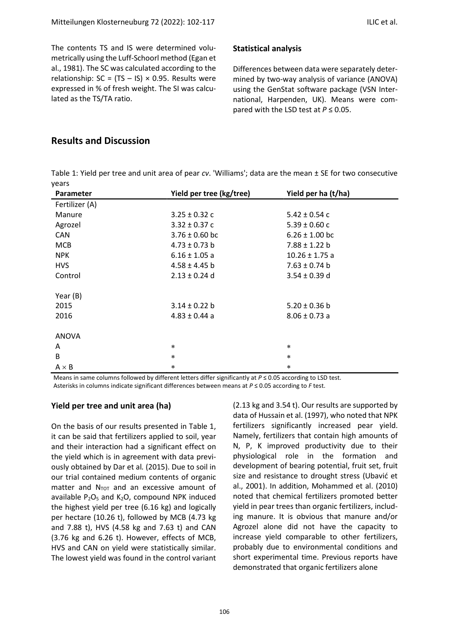The contents TS and IS were determined volumetrically using the Luff-Schoorl method (Egan et al., 1981). The SC was calculated according to the relationship:  $SC = (TS - IS) \times 0.95$ . Results were expressed in % of fresh weight. The SI was calculated as the TS/TA ratio.

#### **Statistical analysis**

Differences between data were separately determined by two-way analysis of variance (ANOVA) using the GenStat software package (VSN International, Harpenden, UK). Means were compared with the LSD test at  $P \le 0.05$ .

## **Results and Discussion**

Table 1: Yield per tree and unit area of pear *cv*. 'Williams'; data are the mean ± SE for two consecutive years

| Parameter      | Yield per tree (kg/tree) | Yield per ha (t/ha) |
|----------------|--------------------------|---------------------|
| Fertilizer (A) |                          |                     |
| Manure         | $3.25 \pm 0.32$ c        | $5.42 \pm 0.54$ c   |
| Agrozel        | $3.32 \pm 0.37$ c        | $5.39 \pm 0.60$ c   |
| CAN            | $3.76 \pm 0.60$ bc       | $6.26 \pm 1.00$ bc  |
| <b>MCB</b>     | $4.73 \pm 0.73$ b        | $7.88 \pm 1.22$ b   |
| <b>NPK</b>     | $6.16 \pm 1.05$ a        | $10.26 \pm 1.75$ a  |
| <b>HVS</b>     | $4.58 \pm 4.45$ b        | $7.63 \pm 0.74$ b   |
| Control        | $2.13 \pm 0.24$ d        | $3.54 \pm 0.39$ d   |
|                |                          |                     |
| Year (B)       |                          |                     |
| 2015           | $3.14 \pm 0.22$ b        | $5.20 \pm 0.36$ b   |
| 2016           | $4.83 \pm 0.44$ a        | $8.06 \pm 0.73$ a   |
|                |                          |                     |
| <b>ANOVA</b>   |                          |                     |
| A              | *                        | $\ast$              |
| B              | $\ast$                   | $\ast$              |
| $A \times B$   | *                        | *                   |

Means in same columns followed by different letters differ significantly at *P* ≤ 0.05 according to LSD test. Asterisks in columns indicate significant differences between means at *P* ≤ 0.05 according to *F* test.

## **Yield per tree and unit area (ha)**

On the basis of our results presented in Table 1, it can be said that fertilizers applied to soil, year and their interaction had a significant effect on the yield which is in agreement with data previously obtained by Dar et al*.* (2015). Due to soil in our trial contained medium contents of organic matter and  $N_{TOT}$  and an excessive amount of available  $P_2O_5$  and  $K_2O$ , compound NPK induced the highest yield per tree (6.16 kg) and logically per hectare (10.26 t), followed by MCB (4.73 kg and 7.88 t), HVS (4.58 kg and 7.63 t) and CAN (3.76 kg and 6.26 t). However, effects of MCB, HVS and CAN on yield were statistically similar. The lowest yield was found in the control variant

(2.13 kg and 3.54 t). Our results are supported by data of Hussain et al. (1997), who noted that NPK fertilizers significantly increased pear yield. Namely, fertilizers that contain high amounts of N, P, K improved productivity due to their physiological role in the formation and development of bearing potential, fruit set, fruit size and resistance to drought stress (Ubavić et al., 2001). In addition, Mohammed et al. (2010) noted that chemical fertilizers promoted better yield in pear trees than organic fertilizers, including manure. It is obvious that manure and/or Agrozel alone did not have the capacity to increase yield comparable to other fertilizers, probably due to environmental conditions and short experimental time. Previous reports have demonstrated that organic fertilizers alone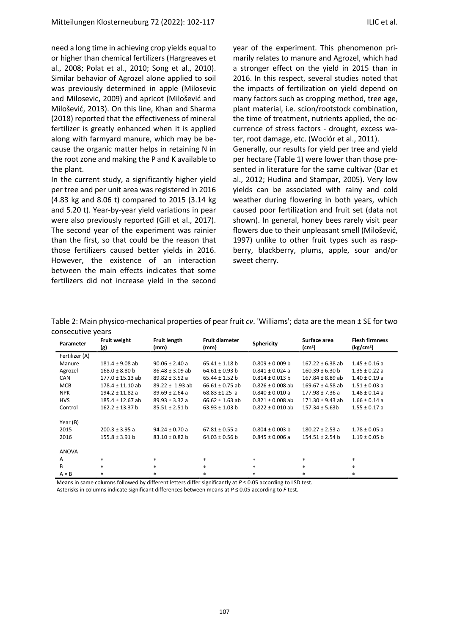need a long time in achieving crop yields equal to or higher than chemical fertilizers (Hargreaves et al., 2008; Polat et al., 2010; Song et al., 2010). Similar behavior of Agrozel alone applied to soil was previously determined in apple (Milosevic and Milosevic, 2009) and apricot (Milošević and Milošević, 2013). On this line, Khan and Sharma (2018) reported that the effectiveness of mineral fertilizer is greatly enhanced when it is applied along with farmyard manure, which may be because the organic matter helps in retaining N in the root zone and making the P and K available to the plant.

In the current study, a significantly higher yield per tree and per unit area was registered in 2016 (4.83 kg and 8.06 t) compared to 2015 (3.14 kg and 5.20 t). Year-by-year yield variations in pear were also previously reported (Gill et al., 2017). The second year of the experiment was rainier than the first, so that could be the reason that those fertilizers caused better yields in 2016. However, the existence of an interaction between the main effects indicates that some fertilizers did not increase yield in the second year of the experiment. This phenomenon primarily relates to manure and Agrozel, which had a stronger effect on the yield in 2015 than in 2016. In this respect, several studies noted that the impacts of fertilization on yield depend on many factors such as cropping method, tree age, plant material, i.e. scion/rootstock combination, the time of treatment, nutrients applied, the occurrence of stress factors - drought, excess water, root damage, etc. (Wociór et al., 2011). Generally, our results for yield per tree and yield per hectare (Table 1) were lower than those presented in literature for the same cultivar (Dar et al., 2012; Hudina and Stampar, 2005). Very low yields can be associated with rainy and cold weather during flowering in both years, which caused poor fertilization and fruit set (data not shown). In general, honey bees rarely visit pear flowers due to their unpleasant smell (Milošević, 1997) unlike to other fruit types such as raspberry, blackberry, plums, apple, sour and/or sweet cherry.

| Parameter      | <b>Fruit weight</b><br>(g) | Fruit length<br>(mm) | <b>Fruit diameter</b><br>(mm) | <b>Sphericity</b>    | Surface area<br>(cm <sup>2</sup> ) | <b>Flesh firmness</b><br>(kg/cm <sup>2</sup> ) |
|----------------|----------------------------|----------------------|-------------------------------|----------------------|------------------------------------|------------------------------------------------|
| Fertilizer (A) |                            |                      |                               |                      |                                    |                                                |
| Manure         | $181.4 \pm 9.08$ ab        | $90.06 \pm 2.40$ a   | $65.41 \pm 1.18$ b            | $0.809 \pm 0.009$ b  | $167.22 \pm 6.38$ ab               | $1.45 \pm 0.16$ a                              |
| Agrozel        | $168.0 \pm 8.80$ b         | $86.48 \pm 3.09$ ab  | $64.61 \pm 0.93$ b            | $0.841 \pm 0.024$ a  | $160.39 \pm 6.30$ b                | $1.35 \pm 0.22$ a                              |
| CAN            | $177.0 \pm 15.13$ ab       | $89.82 \pm 3.52$ a   | $65.44 \pm 1.52$ b            | $0.814 \pm 0.013$ b  | $167.84 \pm 8.89$ ab               | $1.40 \pm 0.19$ a                              |
| <b>MCB</b>     | $178.4 \pm 11.10$ ab       | $89.22 \pm 1.93$ ab  | $66.61 \pm 0.75$ ab           | $0.826 \pm 0.008$ ab | $169.67 \pm 4.58$ ab               | $1.51 \pm 0.03$ a                              |
| <b>NPK</b>     | $194.2 \pm 11.82$ a        | $89.69 \pm 2.64$ a   | $68.83 \pm 1.25$ a            | $0.840 \pm 0.010$ a  | $177.98 \pm 7.36$ a                | $1.48 \pm 0.14$ a                              |
| <b>HVS</b>     | $185.4 \pm 12.67$ ab       | $89.93 \pm 3.32$ a   | $66.62 \pm 1.63$ ab           | $0.821 \pm 0.008$ ab | $171.30 \pm 9.43$ ab               | $1.66 \pm 0.14$ a                              |
| Control        | $162.2 \pm 13.37$ b        | $85.51 \pm 2.51$ b   | $63.93 \pm 1.03$ b            | $0.822 \pm 0.010$ ab | $157.34 \pm 5.63b$                 | $1.55 \pm 0.17$ a                              |
| Year (B)       |                            |                      |                               |                      |                                    |                                                |
| 2015           | $200.3 \pm 3.95$ a         | $94.24 \pm 0.70$ a   | $67.81 \pm 0.55$ a            | $0.804 \pm 0.003$ b  | $180.27 \pm 2.53$ a                | $1.78 \pm 0.05$ a                              |
| 2016           | $155.8 \pm 3.91$ b         | $83.10 \pm 0.82$ b   | $64.03 \pm 0.56$ b            | $0.845 \pm 0.006$ a  | $154.51 \pm 2.54$ b                | $1.19 \pm 0.05$ b                              |
| <b>ANOVA</b>   |                            |                      |                               |                      |                                    |                                                |
| A              | $\ast$                     | $\ast$               | $\ast$                        | *                    | $\ast$                             | $\ast$                                         |
| B              | $\ast$                     | $\ast$               | $*$                           | *                    | $\ast$                             | $\ast$                                         |
| $A \times B$   | $\ast$                     | $\ast$               | $\ast$                        | *                    | *                                  | $\ast$                                         |

Table 2: Main physico-mechanical properties of pear fruit *cv*. 'Williams'; data are the mean ± SE for two consecutive years

Means in same columns followed by different letters differ significantly at *P* ≤ 0.05 according to LSD test. Asterisks in columns indicate significant differences between means at *P* ≤ 0.05 according to *F* test.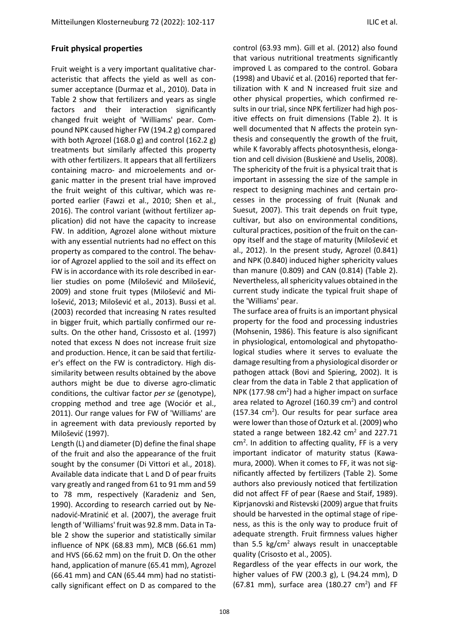#### **Fruit physical properties**

Fruit weight is a very important qualitative characteristic that affects the yield as well as consumer acceptance (Durmaz et al., 2010). Data in Table 2 show that fertilizers and years as single factors and their interaction significantly changed fruit weight of 'Williams' pear. Compound NPK caused higher FW (194.2 g) compared with both Agrozel (168.0 g) and control (162.2 g) treatments but similarly affected this property with other fertilizers. It appears that all fertilizers containing macro- and microelements and organic matter in the present trial have improved the fruit weight of this cultivar, which was reported earlier (Fawzi et al., 2010; Shen et al., 2016). The control variant (without fertilizer application) did not have the capacity to increase FW. In addition, Agrozel alone without mixture with any essential nutrients had no effect on this property as compared to the control. The behavior of Agrozel applied to the soil and its effect on FW is in accordance with its role described in earlier studies on pome (Milošević and Milošević, 2009) and stone fruit types (Milošević and Milošević, 2013; Milošević et al., 2013). Bussi et al. (2003) recorded that increasing N rates resulted in bigger fruit, which partially confirmed our results. On the other hand, Crissosto et al. (1997) noted that excess N does not increase fruit size and production. Hence, it can be said that fertilizer's effect on the FW is contradictory. High dissimilarity between results obtained by the above authors might be due to diverse agro-climatic conditions, the cultivar factor *per se* (genotype), cropping method and tree age (Wociór et al., 2011). Our range values for FW of 'Williams' are in agreement with data previously reported by Milošević (1997).

Length (L) and diameter (D) define the final shape of the fruit and also the appearance of the fruit sought by the consumer (Di Vittori et al., 2018). Available data indicate that L and D of pear fruits vary greatly and ranged from 61 to 91 mm and 59 to 78 mm, respectively (Karadeniz and Sen, 1990). According to research carried out by Nenadović-Mratinić et al. (2007), the average fruit length of 'Williams' fruit was 92.8 mm. Data in Table 2 show the superior and statistically similar influence of NPK (68.83 mm), MCB (66.61 mm) and HVS (66.62 mm) on the fruit D. On the other hand, application of manure (65.41 mm), Agrozel (66.41 mm) and CAN (65.44 mm) had no statistically significant effect on D as compared to the control (63.93 mm). Gill et al. (2012) also found that various nutritional treatments significantly improved L as compared to the control. Gobara (1998) and Ubavić et al. (2016) reported that fertilization with K and N increased fruit size and other physical properties, which confirmed results in our trial, since NPK fertilizer had high positive effects on fruit dimensions (Table 2). It is well documented that N affects the protein synthesis and consequently the growth of the fruit, while K favorably affects photosynthesis, elongation and cell division (Buskienė and Uselis, 2008). The sphericity of the fruit is a physical trait that is important in assessing the size of the sample in respect to designing machines and certain processes in the processing of fruit (Nunak and Suesut, 2007). This trait depends on fruit type, cultivar, but also on environmental conditions, cultural practices, position of the fruit on the canopy itself and the stage of maturity (Milošević et al., 2012). In the present study, Agrozel (0.841) and NPK (0.840) induced higher sphericity values than manure (0.809) and CAN (0.814) (Table 2). Nevertheless, all sphericity values obtained in the current study indicate the typical fruit shape of the 'Williams' pear.

The surface area of fruits is an important physical property for the food and processing industries (Mohsenin, 1986). This feature is also significant in physiological, entomological and phytopathological studies where it serves to evaluate the damage resulting from a physiological disorder or pathogen attack (Bovi and Spiering, 2002). It is clear from the data in Table 2 that application of NPK (177.98  $\text{cm}^2$ ) had a higher impact on surface area related to Agrozel (160.39  $\text{cm}^2$ ) and control  $(157.34 \text{ cm}^2)$ . Our results for pear surface area were lower than those of Ozturk et al. (2009) who stated a range between  $182.42 \text{ cm}^2$  and  $227.71$  $cm<sup>2</sup>$ . In addition to affecting quality, FF is a very important indicator of maturity status (Kawamura, 2000). When it comes to FF, it was not significantly affected by fertilizers (Table 2). Some authors also previously noticed that fertilization did not affect FF of pear (Raese and Staif, 1989). Kiprjanovski and Ristevski (2009) argue that fruits should be harvested in the optimal stage of ripeness, as this is the only way to produce fruit of adequate strength. Fruit firmness values higher than 5.5 kg/ $cm<sup>2</sup>$  always result in unacceptable quality (Crisosto et al., 2005).

Regardless of the year effects in our work, the higher values of FW (200.3 g), L (94.24 mm), D  $(67.81$  mm), surface area  $(180.27$  cm<sup>2</sup>) and FF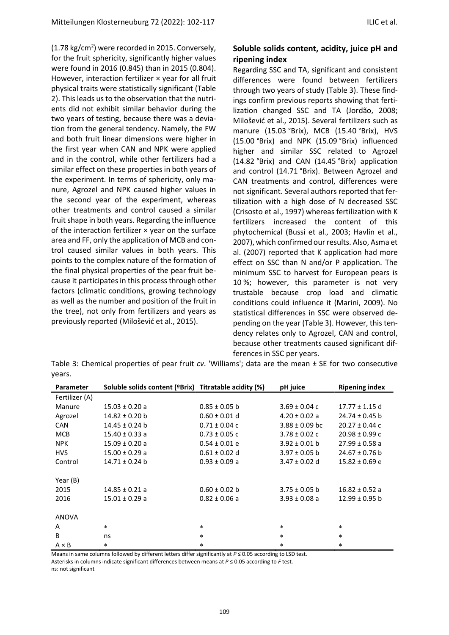$(1.78 \text{ kg/cm}^2)$  were recorded in 2015. Conversely, for the fruit sphericity, significantly higher values were found in 2016 (0.845) than in 2015 (0.804). However, interaction fertilizer × year for all fruit physical traits were statistically significant (Table 2). This leads us to the observation that the nutrients did not exhibit similar behavior during the two years of testing, because there was a deviation from the general tendency. Namely, the FW and both fruit linear dimensions were higher in the first year when CAN and NPK were applied and in the control, while other fertilizers had a similar effect on these properties in both years of the experiment. In terms of sphericity, only manure, Agrozel and NPK caused higher values in the second year of the experiment, whereas other treatments and control caused a similar fruit shape in both years. Regarding the influence of the interaction fertilizer × year on the surface area and FF, only the application of MCB and control caused similar values in both years. This points to the complex nature of the formation of the final physical properties of the pear fruit because it participates in this process through other factors (climatic conditions, growing technology as well as the number and position of the fruit in the tree), not only from fertilizers and years as previously reported (Milošević et al., 2015).

## **Soluble solids content, acidity, juice pH and ripening index**

Regarding SSC and TA, significant and consistent differences were found between fertilizers through two years of study (Table 3). These findings confirm previous reports showing that fertilization changed SSC and TA (Jordão, 2008; Milošević et al., 2015). Several fertilizers such as manure (15.03 °Brix), MCB (15.40 °Brix), HVS (15.00 °Brix) and NPK (15.09 °Brix) influenced higher and similar SSC related to Agrozel (14.82 °Brix) and CAN (14.45 °Brix) application and control (14.71 °Brix). Between Agrozel and CAN treatments and control, differences were not significant. Several authors reported that fertilization with a high dose of N decreased SSC (Crisosto et al., 1997) whereas fertilization with K fertilizers increased the content of this phytochemical (Bussi et al., 2003; Havlin et al., 2007), which confirmed our results. Also, Asma et al. (2007) reported that K application had more effect on SSC than N and/or P application. The minimum SSC to harvest for European pears is 10 %; however, this parameter is not very trustable because crop load and climatic conditions could influence it (Marini, 2009). No statistical differences in SSC were observed depending on the year (Table 3). However, this tendency relates only to Agrozel, CAN and control, because other treatments caused significant differences in SSC per years.

Table 3: Chemical properties of pear fruit *cv*. 'Williams'; data are the mean ± SE for two consecutive years.

| Parameter      | Soluble solids content (ºBrix) Titratable acidity (%) |                   | pH juice           | <b>Ripening index</b> |
|----------------|-------------------------------------------------------|-------------------|--------------------|-----------------------|
| Fertilizer (A) |                                                       |                   |                    |                       |
| Manure         | $15.03 \pm 0.20$ a                                    | $0.85 \pm 0.05$ b | $3.69 \pm 0.04$ c  | $17.77 \pm 1.15$ d    |
| Agrozel        | $14.82 \pm 0.20$ b                                    | $0.60 \pm 0.01$ d | $4.20 \pm 0.02$ a  | $24.74 \pm 0.45$ b    |
| <b>CAN</b>     | $14.45 \pm 0.24$ b                                    | $0.71 \pm 0.04$ c | $3.88 \pm 0.09$ bc | $20.27 \pm 0.44$ c    |
| <b>MCB</b>     | $15.40 \pm 0.33$ a                                    | $0.73 \pm 0.05$ c | $3.78 \pm 0.02$ c  | $20.98 \pm 0.99$ c    |
| <b>NPK</b>     | $15.09 \pm 0.20$ a                                    | $0.54 \pm 0.01$ e | $3.92 \pm 0.01$ b  | $27.99 \pm 0.58$ a    |
| <b>HVS</b>     | $15.00 \pm 0.29$ a                                    | $0.61 \pm 0.02$ d | $3.97 \pm 0.05$ b  | $24.67 \pm 0.76$ b    |
| Control        | $14.71 \pm 0.24$ b                                    | $0.93 \pm 0.09$ a | $3.47 \pm 0.02$ d  | $15.82 \pm 0.69$ e    |
|                |                                                       |                   |                    |                       |
| Year (B)       |                                                       |                   |                    |                       |
| 2015           | $14.85 \pm 0.21$ a                                    | $0.60 \pm 0.02$ b | $3.75 \pm 0.05$ b  | $16.82 \pm 0.52$ a    |
| 2016           | $15.01 \pm 0.29$ a                                    | $0.82 \pm 0.06$ a | $3.93 \pm 0.08$ a  | $12.99 \pm 0.95$ b    |
|                |                                                       |                   |                    |                       |
| <b>ANOVA</b>   |                                                       |                   |                    |                       |
| A              | $\ast$                                                | $\star$           | $\ast$             | $\ast$                |
| B              | ns                                                    | $\star$           | $\star$            | $\ast$                |
| $A \times B$   | $\ast$                                                | $\ast$            | $\ast$             | $\ast$                |

Means in same columns followed by different letters differ significantly at *P* ≤ 0.05 according to LSD test.

Asterisks in columns indicate significant differences between means at *P* ≤ 0.05 according to *F* test. ns: not significant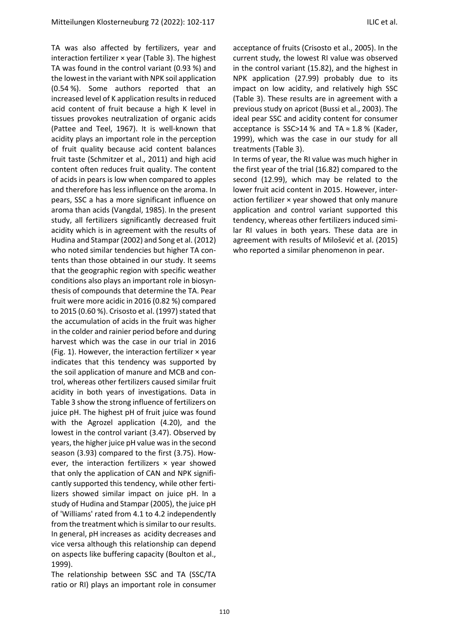TA was also affected by fertilizers, year and interaction fertilizer × year (Table 3). The highest TA was found in the control variant (0.93 %) and the lowest in the variant with NPK soil application (0.54 %). Some authors reported that an increased level of K application results in reduced acid content of fruit because a high K level in tissues provokes neutralization of organic acids (Pattee and Teel, 1967). It is well-known that acidity plays an important role in the perception of fruit quality because acid content balances fruit taste (Schmitzer et al., 2011) and high acid content often reduces fruit quality. The content of acids in pears is low when compared to apples and therefore has less influence on the aroma. In pears, SSC a has a more significant influence on aroma than acids (Vangdal, 1985). In the present study, all fertilizers significantly decreased fruit acidity which is in agreement with the results of Hudina and Stampar (2002) and Song et al. (2012) who noted similar tendencies but higher TA contents than those obtained in our study. It seems that the geographic region with specific weather conditions also plays an important role in biosynthesis of compounds that determine the TA. Pear fruit were more acidic in 2016 (0.82 %) compared to 2015 (0.60 %). Crisosto et al. (1997) stated that the accumulation of acids in the fruit was higher in the colder and rainier period before and during harvest which was the case in our trial in 2016 (Fig. 1). However, the interaction fertilizer × year indicates that this tendency was supported by the soil application of manure and MCB and control, whereas other fertilizers caused similar fruit acidity in both years of investigations. Data in Table 3 show the strong influence of fertilizers on juice pH. The highest pH of fruit juice was found with the Agrozel application (4.20), and the lowest in the control variant (3.47). Observed by years, the higher juice pH value was in the second season (3.93) compared to the first (3.75). However, the interaction fertilizers  $\times$  year showed that only the application of CAN and NPK significantly supported this tendency, while other fertilizers showed similar impact on juice pH. In a study of Hudina and Stampar (2005), the juice pH of 'Williams' rated from 4.1 to 4.2 independently from the treatment which is similar to our results. In general, pH increases as acidity decreases and vice versa although this relationship can depend on aspects like buffering capacity (Boulton et al., 1999).

The relationship between SSC and TA (SSC/TA ratio or RI) plays an important role in consumer acceptance of fruits (Crisosto et al., 2005). In the current study, the lowest RI value was observed in the control variant (15.82), and the highest in NPK application (27.99) probably due to its impact on low acidity, and relatively high SSC (Table 3). These results are in agreement with a previous study on apricot (Bussi et al., 2003). The ideal pear SSC and acidity content for consumer acceptance is SSC>14 % and TA  $\approx$  1.8 % (Kader, 1999), which was the case in our study for all treatments (Table 3).

In terms of year, the RI value was much higher in the first year of the trial (16.82) compared to the second (12.99), which may be related to the lower fruit acid content in 2015. However, interaction fertilizer  $\times$  year showed that only manure application and control variant supported this tendency, whereas other fertilizers induced similar RI values in both years. These data are in agreement with results of Milošević et al. (2015) who reported a similar phenomenon in pear.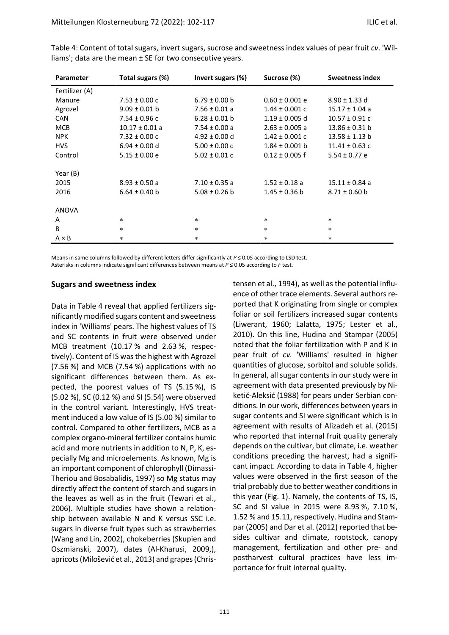| Parameter      | Total sugars (%)   | Invert sugars (%) | Sucrose (%)        | <b>Sweetness index</b> |
|----------------|--------------------|-------------------|--------------------|------------------------|
| Fertilizer (A) |                    |                   |                    |                        |
| Manure         | $7.53 \pm 0.00$ c  | $6.79 \pm 0.00$ b | $0.60 \pm 0.001$ e | $8.90 \pm 1.33$ d      |
| Agrozel        | $9.09 \pm 0.01$ b  | $7.56 \pm 0.01$ a | $1.44 \pm 0.001$ c | $15.17 \pm 1.04$ a     |
| <b>CAN</b>     | $7.54 \pm 0.96$ c  | $6.28 \pm 0.01$ b | $1.19 \pm 0.005$ d | $10.57 \pm 0.91$ c     |
| <b>MCB</b>     | $10.17 \pm 0.01$ a | $7.54 \pm 0.00$ a | $2.63 \pm 0.005$ a | $13.86 \pm 0.31$ b     |
| <b>NPK</b>     | $7.32 \pm 0.00$ c  | $4.92 \pm 0.00$ d | $1.42 \pm 0.001$ c | $13.58 \pm 1.13$ b     |
| <b>HVS</b>     | $6.94 \pm 0.00$ d  | $5.00 \pm 0.00$ c | $1.84 \pm 0.001$ b | $11.41 \pm 0.63$ c     |
| Control        | $5.15 \pm 0.00$ e  | $5.02 \pm 0.01$ c | $0.12 \pm 0.005$ f | $5.54 \pm 0.77$ e      |
|                |                    |                   |                    |                        |
| Year (B)       |                    |                   |                    |                        |
| 2015           | $8.93 \pm 0.50 a$  | $7.10 \pm 0.35$ a | $1.52 \pm 0.18$ a  | $15.11 \pm 0.84$ a     |
| 2016           | $6.64 \pm 0.40$ b  | $5.08 \pm 0.26$ b | $1.45 \pm 0.36$ b  | $8.71 \pm 0.60$ b      |
|                |                    |                   |                    |                        |
| ANOVA          |                    |                   |                    |                        |
| A              | $\ast$             | $\ast$            | $\ast$             | $\star$                |
| B              | $\ast$             | $\ast$            | $\ast$             | $\star$                |
| $A \times B$   | $\ast$             | $\ast$            | $\ast$             | $\star$                |

Table 4: Content of total sugars, invert sugars, sucrose and sweetness index values of pear fruit *cv*. 'Williams'; data are the mean ± SE for two consecutive years.

Means in same columns followed by different letters differ significantly at *P* ≤ 0.05 according to LSD test. Asterisks in columns indicate significant differences between means at *P* ≤ 0.05 according to *F* test.

#### **Sugars and sweetness index**

Data in Table 4 reveal that applied fertilizers significantly modified sugars content and sweetness index in 'Williams' pears. The highest values of TS and SC contents in fruit were observed under MCB treatment (10.17 % and 2.63 %, respectively). Content of IS was the highest with Agrozel (7.56 %) and MCB (7.54 %) applications with no significant differences between them. As expected, the poorest values of TS (5.15 %), IS (5.02 %), SC (0.12 %) and SI (5.54) were observed in the control variant. Interestingly, HVS treatment induced a low value of IS (5.00 %) similar to control. Compared to other fertilizers, MCB as a complex organo-mineral fertilizer contains humic acid and more nutrients in addition to N, P, K, especially Mg and microelements. As known, Mg is an important component of chlorophyll (Dimassi-Theriou and Bosabalidis, 1997) so Mg status may directly affect the content of starch and sugars in the leaves as well as in the fruit (Tewari et al., 2006). Multiple studies have shown a relationship between available N and K versus SSC i.e. sugars in diverse fruit types such as strawberries (Wang and Lin, 2002), chokeberries (Skupien and Oszmianski, 2007), dates (Al-Kharusi, 2009,), apricots (Milošević et al., 2013) and grapes (Christensen et al., 1994), as well as the potential influence of other trace elements. Several authors reported that K originating from single or complex foliar or soil fertilizers increased sugar contents (Liwerant, 1960; Lalatta, 1975; [Lester et al.,](https://journals.ashs.org/horttech/view/journals/horttech/26/3/article-p270.xml#B23)  [2010\)](https://journals.ashs.org/horttech/view/journals/horttech/26/3/article-p270.xml#B23). On this line, Hudina and Stampar (2005) noted that the foliar fertilization with P and K in pear fruit of *cv.* 'Williams' resulted in higher quantities of glucose, sorbitol and soluble solids. In general, all sugar contents in our study were in agreement with data presented previously by Niketić-Aleksić (1988) for pears under Serbian conditions. In our work, differences between years in sugar contents and SI were significant which is in agreement with results of Alizadeh et al. (2015) who reported that internal fruit quality generaly depends on the cultivar, but climate, i.e. weather conditions preceding the harvest, had a significant impact. According to data in Table 4, higher values were observed in the first season of the trial probably due to better weather conditions in this year (Fig. 1). Namely, the contents of TS, IS, SC and SI value in 2015 were 8.93 %, 7.10 %, 1.52 % and 15.11, respectively. Hudina and Stampar (2005) and Dar et al. (2012) reported that besides cultivar and climate, rootstock, canopy management, fertilization and other pre- and postharvest cultural practices have less importance for fruit internal quality.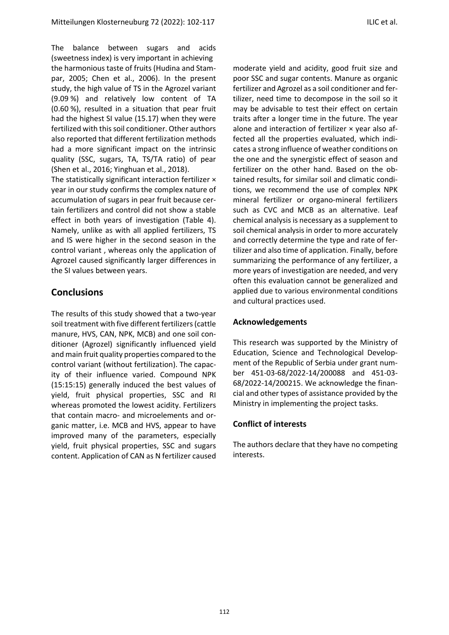The balance between sugars and acids (sweetness index) is very important in achieving the harmonious taste of fruits (Hudina and Stampar, 2005; Chen et al., 2006). In the present study, the high value of TS in the Agrozel variant (9.09 %) and relatively low content of TA (0.60 %), resulted in a situation that pear fruit had the highest SI value (15.17) when they were fertilized with this soil conditioner. Other authors also reported that different fertilization methods had a more significant impact on the intrinsic quality (SSC, sugars, TA, TS/TA ratio) of pear (Shen et al., 2016; Yinghuan et al., 2018).

The statistically significant interaction fertilizer × year in our study confirms the complex nature of accumulation of sugars in pear fruit because certain fertilizers and control did not show a stable effect in both years of investigation (Table 4). Namely, unlike as with all applied fertilizers, TS and IS were higher in the second season in the control variant , whereas only the application of Agrozel caused significantly larger differences in the SI values between years.

## **Conclusions**

The results of this study showed that a two-year soil treatment with five different fertilizers (cattle manure, HVS, CAN, NPK, MCB) and one soil conditioner (Agrozel) significantly influenced yield and main fruit quality properties compared to the control variant (without fertilization). The capacity of their influence varied. Compound NPK (15:15:15) generally induced the best values of yield, fruit physical properties, SSC and RI whereas promoted the lowest acidity. Fertilizers that contain macro- and microelements and organic matter, i.e. MCB and HVS, appear to have improved many of the parameters, especially yield, fruit physical properties, SSC and sugars content. Application of CAN as N fertilizer caused

moderate yield and acidity, good fruit size and poor SSC and sugar contents. Manure as organic fertilizer and Agrozel as a soil conditioner and fertilizer, need time to decompose in the soil so it may be advisable to test their effect on certain traits after a longer time in the future. The year alone and interaction of fertilizer × year also affected all the properties evaluated, which indicates a strong influence of weather conditions on the one and the synergistic effect of season and fertilizer on the other hand. Based on the obtained results, for similar soil and climatic conditions, we recommend the use of complex NPK mineral fertilizer or organo-mineral fertilizers such as CVC and MCB as an alternative. Leaf chemical analysis is necessary as a supplement to soil chemical analysis in order to more accurately and correctly determine the type and rate of fertilizer and also time of application. Finally, before summarizing the performance of any fertilizer, a more years of investigation are needed, and very often this evaluation cannot be generalized and applied due to various environmental conditions and cultural practices used.

## **Acknowledgements**

This research was supported by the Ministry of Education, Science and Technological Development of the Republic of Serbia under grant number 451-03-68/2022-14/200088 and 451-03- 68/2022-14/200215. We acknowledge the financial and other types of assistance provided by the Ministry in implementing the project tasks.

## **Conflict of interests**

The authors declare that they have no competing interests.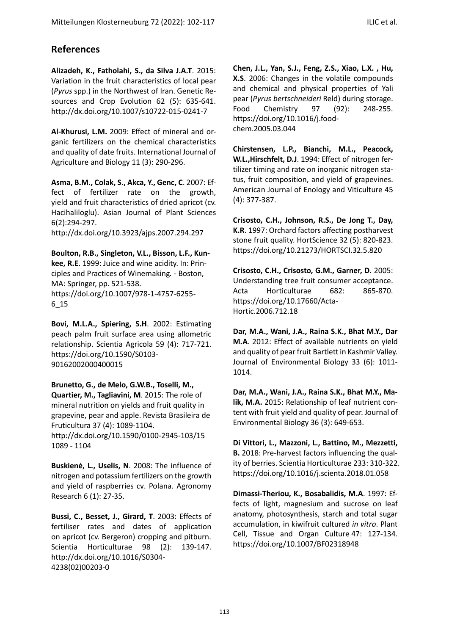# **References**

**Alizadeh, K., Fatholahi, S., da Silva J.A.T**. 2015: Variation in the fruit characteristics of local pear (*Pyrus* spp.) in the Northwest of Iran. Genetic Resources and Crop Evolution 62 (5): 635-641. http://dx.doi.org/10.1007/s10722-015-0241-7

**Al-Khurusi, L.M.** 2009: Effect of mineral and organic fertilizers on the chemical characteristics and quality of date fruits. International Journal of Agriculture and Biology 11 (3): 290-296.

**Asma, B.M., Colak, S., Akca, Y., Genc, C**. 2007: Effect of fertilizer rate on the growth, yield and fruit characteristics of dried apricot (cv. Hacihaliloglu). [Asian Journal of Plant Sciences](https://scialert.net/jhome.php?issn=1682-3974) 6(2):294-297.

http://dx.doi.org[/10.3923/ajps.2007.294.297](http://dx.doi.org/10.3923/ajps.2007.294.297)

**Boulton, R.B., Singleton, V.L., Bisson, L.F., Kunkee, R.E**. 1999: Juice and wine acidity. In: Principles and Practices of Winemaking*.* - Boston, MA: Springer, pp. 521-538. https://doi.org/10.1007/978-1-4757-6255- 6\_15

**Bovi, M.L.A., Spiering, S.H**. 2002: Estimating peach palm fruit surface area using allometric relationship. Scientia Agricola 59 (4): 717-721. [https://doi.org/10.1590/S0103-](https://doi.org/10.1590/S0103-90162002000400015) [90162002000400015](https://doi.org/10.1590/S0103-90162002000400015)

**Brunetto, G., de Melo, G.W.B., Toselli, M., Quartier, M., Tagliavini, M**. 2015: The role of mineral nutrition on yields and fruit quality in grapevine, pear and apple. Revista Brasileira de Fruticultura 37 (4): 1089-1104. <http://dx.doi.org/10.1590/0100-2945-103/15> 1089 - 1104

**Buskienė, L., Uselis, N**. 2008: The influence of nitrogen and potassium fertilizers on the growth and yield of raspberries cv. Polana. Agronomy Research 6 (1): 27-35.

**Bussi, C., Besset, J., Girard, T**. 2003: Effects of fertiliser rates and dates of application on apricot (cv. Bergeron) cropping and pitburn. Scientia Horticulturae 98 (2): 139-147. http://dx.doi.org[/10.1016/S0304-](http://dx.doi.org/10.1016/S0304-4238(02)00203-0) [4238\(02\)00203-0](http://dx.doi.org/10.1016/S0304-4238(02)00203-0)

**Chen, J.L., Yan, S.J., Feng, Z.S., Xiao, L.X. , Hu, X.S**. 2006: Changes in the volatile compounds and chemical and physical properties of Yali pear (*Pyrus bertschneideri* Reld) during storage. Food Chemistry 97 (92): 248-255. [https://doi.org/10.1016/j.food](https://doi.org/10.1016/j.foodchem.2005.03.044)[chem.2005.03.044](https://doi.org/10.1016/j.foodchem.2005.03.044)

**Chirstensen, L.P., Bianchi, M.L., Peacock, W.L.,Hirschfelt, D.J**. 1994: Effect of nitrogen fertilizer timing and rate on inorganic nitrogen status, fruit composition, and yield of grapevines. American Journal of Enology and Viticulture 45 (4): 377-387.

**Crisosto, C.H., Johnson, R.S., De Jong T., Day, K.R**. 1997: Orchard factors affecting postharvest stone fruit quality. HortScience 32 (5): 820-823. https://doi.org[/10.21273/HORTSCI.32.5.820](http://dx.doi.org/10.21273/HORTSCI.32.5.820)

**Crisosto, C.H., Crisosto, G.M., Garner, D**. 2005: Understanding tree fruit consumer acceptance. Acta Horticulturae 682: 865-870. https://doi.org[/10.17660/Acta-](http://dx.doi.org/10.17660/ActaHortic.2006.712.18)[Hortic.2006.712.18](http://dx.doi.org/10.17660/ActaHortic.2006.712.18)

**Dar, M.A., Wani, J.A., Raina S.K., Bhat M.Y., Dar M.A**. 2012: Effect of available nutrients on yield and quality of pear fruit Bartlett in Kashmir Valley. Journal of Environmental Biology 33 (6): 1011- 1014.

**Dar, M.A., Wani, J.A., Raina S.K., Bhat M.Y., Malik, M.A.** 2015: Relationship of leaf nutrient content with fruit yield and quality of pear. Journal of Environmental Biology 36 (3): 649-653.

**Di Vittori, L., Mazzoni, L., Battino, M., Mezzetti, B.** 2018: Pre-harvest factors influencing the quality of berries. Scientia Horticulturae 233: 310-322. https://doi.org[/10.1016/j.scienta.2018.01.058](http://dx.doi.org/10.1016/j.scienta.2018.01.058)

**Dimassi-Theriou, K., Bosabalidis, M.A**. 1997: Effects of light, magnesium and sucrose on leaf anatomy, photosynthesis, starch and total sugar accumulation, in kiwifruit cultured *in vitro*. [Plant](https://link.springer.com/journal/11240)  [Cell, Tissue and Organ Culture](https://link.springer.com/journal/11240) 47: 127-134. https://doi.org/10.1007/BF02318948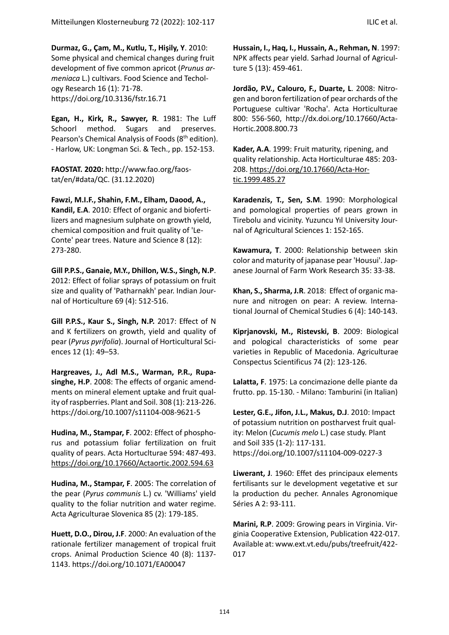**Durmaz, G., Çam, M., Kutlu, T., Hişily, Y**. 2010: Some physical and chemical changes during fruit development of five common apricot (*Prunus armeniaca* L.) cultivars. Food Science and Techology Research 16 (1): 71-78. https://doi.org[/10.3136/fstr.16.71](http://dx.doi.org/10.3136/fstr.16.71)

**Egan, H., Kirk, R., Sawyer, R**. 1981: The Luff Schoorl method. Sugars and preserves. Pearson's Chemical Analysis of Foods (8<sup>th</sup> edition). - Harlow, UK: Longman Sci. & Tech., pp. 152-153.

**FAOSTAT. 2020:** [http://www.fao.org/faos](http://www.fao.org/faostat/en/#data/QC)[tat/en/#data/QC.](http://www.fao.org/faostat/en/#data/QC) (31.12.2020)

**Fawzi, M.I.F., Shahin, F.M., Elham, Daood, A., Kandil, E.A**. 2010: Effect of organic and biofertilizers and magnesium sulphate on growth yield, chemical composition and fruit quality of 'Le-Conte' pear trees. Nature and Science 8 (12): 273-280.

**Gill P.P.S., Ganaie, M.Y., Dhillon, W.S., Singh, N.P**. 2012: Effect of foliar sprays of potassium on fruit size and quality of 'Patharnakh' pear. Indian Journal of Horticulture 69 (4): 512-516.

**Gill P.P.S., Kaur S., Singh, N.P.** 2017: Effect of N and K fertilizers on growth, yield and quality of pear (*Pyrus pyrifolia*). Journal of Horticultural Sciences 12 (1): 49–53.

**Hargreaves, J., Adl M.S., Warman, P.R., [Rupa](https://www.researchgate.net/profile/H-P-Vasantha-Rupasinghe?_sg%5B0%5D=Plw-bi4Abq5DJefueDgjB6BdpXp74aXSUuMaqFwURe8lAT8IkIpohinuIjzW49g8cBC4EBs.dwSsTRHAiMCjO67kv1K4ftCrxRdhxZZOrUfQaHQ0WY8fBAUQfvKZTdPyraUi3d4_2Qt4qTA4hgiMMpeddy-b2w.5psbfUQvjV2LleIlS0LPl09yLrcTpytdGgv32apSBcFzYFejzo7vV9P56Ly5Qb1a10NTTNSijzO4Fx3UqViQ2g&_sg%5B1%5D=JDJFk7X0oUoXKe0SM5NXf8h1TpGhU-INbbuimLkEg9byrTeZAw5cbrkUsE6V0mKSqjpalyM.JVwmXuSX8RQ-Riy7NjSRCjFFA7LW3Nax5a3muycgAId84aAxM-19y-6ur-K_r67O_zvAmL2FHp0X_3q5SsCvAQ)[singhe,](https://www.researchgate.net/profile/H-P-Vasantha-Rupasinghe?_sg%5B0%5D=Plw-bi4Abq5DJefueDgjB6BdpXp74aXSUuMaqFwURe8lAT8IkIpohinuIjzW49g8cBC4EBs.dwSsTRHAiMCjO67kv1K4ftCrxRdhxZZOrUfQaHQ0WY8fBAUQfvKZTdPyraUi3d4_2Qt4qTA4hgiMMpeddy-b2w.5psbfUQvjV2LleIlS0LPl09yLrcTpytdGgv32apSBcFzYFejzo7vV9P56Ly5Qb1a10NTTNSijzO4Fx3UqViQ2g&_sg%5B1%5D=JDJFk7X0oUoXKe0SM5NXf8h1TpGhU-INbbuimLkEg9byrTeZAw5cbrkUsE6V0mKSqjpalyM.JVwmXuSX8RQ-Riy7NjSRCjFFA7LW3Nax5a3muycgAId84aAxM-19y-6ur-K_r67O_zvAmL2FHp0X_3q5SsCvAQ) H.P**. 2008: The effects of organic amendments on mineral element uptake and fruit quality of raspberries. Plant and Soil. 308 (1): 213-226. https://doi.org[/10.1007/s11104-008-9621-5](http://dx.doi.org/10.1007/s11104-008-9621-5)

**Hudina, M., Stampar, F**. 2002: Effect of phosphorus and potassium foliar fertilization on fruit quality of pears. Acta Hortuclturae 594: 487-493. <https://doi.org/10.17660/Actaortic.2002.594.63>

**Hudina, M., Stampar, F**. 2005: The correlation of the pear (*Pyrus communis* L.) cv. 'Williams' yield quality to the foliar nutrition and water regime. Acta Agriculturae Slovenica 85 (2): 179-185.

**Huett, D.O., Dirou, J.F**. 2000: An evaluation of the rationale fertilizer management of tropical fruit crops. Animal Production Science 40 (8): 1137- 1143. https://doi.org[/10.1071/EA00047](http://dx.doi.org/10.1071/EA00047)

**Hussain, I., Haq, I., Hussain, A., Rehman, N**. 1997: NPK affects pear yield. Sarhad Journal of Agriculture 5 (13): 459-461.

**Jordão, P.V., Calouro, F., Duarte, L**. 2008: Nitrogen and boron fertilization of pear orchards of the Portuguese cultivar 'Rocha'. Acta Horticulturae 800: 556-560, http://dx.doi.org[/10.17660/Acta-](https://doi.org/10.17660/ActaHortic.2008.800.73)[Hortic.2008.800.73](https://doi.org/10.17660/ActaHortic.2008.800.73)

**Kader, A.A**. 1999: Fruit maturity, ripening, and quality relationship. Acta Horticulturae 485: 203- 208. [https://doi.org/10.17660/Acta-Hor](https://doi.org/10.17660/Acta-Hortic.1999.485.27)[tic.1999.485.27](https://doi.org/10.17660/Acta-Hortic.1999.485.27)

**Karadenzis, T., Sen, S.M**. 1990: Morphological and pomological properties of pears grown in Tirebolu and vicinity. Yuzuncu Yıl University Journal of Agricultural Sciences 1: 152-165.

**Kawamura, T**. 2000: Relationship between skin color and maturity of japanase pear 'Housui'[. Jap](https://www.google.com/url?sa=t&rct=j&q=&esrc=s&source=web&cd=&ved=2ahUKEwizirGxjLHsAhUPMewKHTKTB-cQFjAAegQIAhAC&url=https://www.safetylit.org/week/journalpage.php?jid=23564&usg=AOvVaw3Dy3yfBjAdPfQci5TG1tJw)[anese Journal of Farm Work Research](https://www.google.com/url?sa=t&rct=j&q=&esrc=s&source=web&cd=&ved=2ahUKEwizirGxjLHsAhUPMewKHTKTB-cQFjAAegQIAhAC&url=https://www.safetylit.org/week/journalpage.php?jid=23564&usg=AOvVaw3Dy3yfBjAdPfQci5TG1tJw) 35: 33-38.

**Khan, S., Sharma, J.R**. 2018: Effect of organic manure and nitrogen on pear: A review. International Journal of Chemical Studies 6 (4): 140-143.

**Kiprjanovski, M., Ristevski, B**. 2009: Biological and pological characteristicks of some pear varieties in Republic of Macedonia. [Agriculturae](https://acs.agr.hr/)  [Conspectus Scientificus](https://acs.agr.hr/) 74 (2): 123-126.

**Lalatta, F**. 1975: La concimazione delle piante da frutto. pp. 15-130. - Milano: Tamburini (in Italian)

**Lester, G.E., Jifon, J.L., Makus, D.J**. 2010: Impact of potassium nutrition on postharvest fruit quality: Melon (*Cucumis melo* L.) case study. Plant and Soil 335 (1-2): 117-131. https://doi.org/10.1007/s11104-009-0227-3

**Liwerant, J**. 1960: Effet des principaux elements fertilisants sur le development vegetative et sur la production du pecher. Annales Agronomique Séries A 2: 93-111.

**Marini, R.P**. 2009: Growing pears in Virginia. Virginia Cooperative Extension, Publication 422-017. Available at[: www.ext.vt.edu/pubs/treefruit/422-](http://www.ext.vt.edu/pubs/treefruit/422-017) [017](http://www.ext.vt.edu/pubs/treefruit/422-017)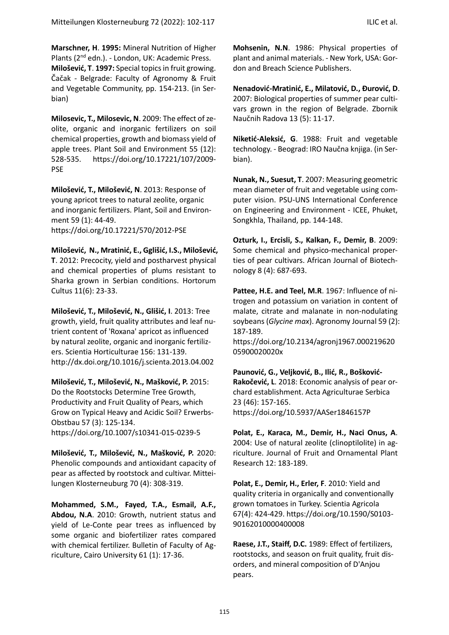**Marschner, H**. **1995:** Mineral Nutrition of Higher Plants (2<sup>nd</sup> edn.). - London, UK: Academic Press. **Milošević, T**. **1997:** Special topics in fruit growing. Čačak - Belgrade: Faculty of Agronomy & Fruit and Vegetable Community, pp. 154-213. (in Serbian)

**Milosevic, T., Milosevic, N**. 2009: The effect of zeolite, organic and inorganic fertilizers on soil chemical properties, growth and biomass yield of apple trees. Plant Soil and Environment 55 (12): 528-535. https://doi.org[/10.17221/107/2009-](http://dx.doi.org/10.17221/107/2009-PSE) [PSE](http://dx.doi.org/10.17221/107/2009-PSE)

**Milošević, T., Milošević, N**. 2013: Response of young apricot trees to natural zeolite, organic and inorganic fertilizers. Plant, Soil and Environment 59 (1): 44-49[.](https://doi.org/10.17221/570/2012-PSE)  <https://doi.org/10.17221/570/2012-PSE>

**Milošević, N., Mratinić, E., Gglišić, I.S., Milošević, T**. 2012: Precocity, yield and postharvest physical and chemical properties of plums resistant to Sharka grown in Serbian conditions. Hortorum Cultus 11(6): 23-33.

**Milošević, T., Milošević, N., Glišić, I**. 2013: Tree growth, yield, fruit quality attributes and leaf nutrient content of 'Roxana' apricot as influenced by natural zeolite, organic and inorganic fertilizers. Scientia Horticulturae 156: 131-139. http://dx.doi.org/10.1016/j.scienta.2013.04.002

**Milošević, T., Milošević, N., Mašković, P.** 2015: Do the Rootstocks Determine Tree Growth, Productivity and Fruit Quality of Pears, which Grow on Typical Heavy and Acidic Soil? Erwerbs-Obstbau 57 (3): 125-134. https://doi.org/10.1007/s10341-015-0239-5

**Milošević, T., Milošević, N., Mašković, P.** 2020: Phenolic compounds and antioxidant capacity of pear as affected by rootstock and cultivar. Mitteilungen Klosterneuburg 70 (4): 308-319.

**[Mohammed, S.M.](https://www.cabdirect.org/cabdirect/search/?q=au:%22Mohammed,%20S.%20M.%22), [Fayed, T.A.](https://www.cabdirect.org/cabdirect/search/?q=au:%22Fayed,%20T.%20A.%22), [Esmail, A.F.](https://www.cabdirect.org/cabdirect/search/?q=au:%22Esmail,%20A.%20F.%22), [Abdou, N.A](https://www.cabdirect.org/cabdirect/search/?q=au:%22Abdou,%20N.%20A.%22)**. 2010: Growth, nutrient status and yield of Le-Conte pear trees as influenced by some organic and biofertilizer rates compared with chemical fertilizer. [Bulletin of Faculty of Ag](https://www.cabdirect.org/cabdirect/search/?q=do:%22Bulletin%20of%20Faculty%20of%20Agriculture,%20Cairo%20University%22)[riculture, Cairo University](https://www.cabdirect.org/cabdirect/search/?q=do:%22Bulletin%20of%20Faculty%20of%20Agriculture,%20Cairo%20University%22) 61 (1): 17-36.

**Mohsenin, N.N**. 1986: Physical properties of plant and animal materials. - New York, USA: Gordon and Breach Science Publishers.

**Nenadović-Mratinić, E., Milatović, D., Đurović, D**. 2007: Biological properties of summer pear cultivars grown in the region of Belgrade. Zbornik Naučnih Radova 13 (5): 11-17.

**Niketić-Aleksić, G**. 1988: Fruit and vegetable technology. - Beograd: IRO Naučna knjiga. (in Serbian).

**Nunak, N., Suesut, T**. 2007: Measuring geometric mean diameter of fruit and vegetable using computer vision. PSU-UNS International Conference on Engineering and Environment - ICEE, Phuket, Songkhla, Thailand, pp. 144-148.

**Ozturk, I., Ercisli, S., Kalkan, F., Demir, B**. 2009: Some chemical and physico-mechanical properties of pear cultivars. African Journal of Biotechnology 8 (4): 687-693.

**Pattee, H.E. and Teel, M.R**. 1967: Influence of nitrogen and potassium on variation in content of malate, citrate and malanate in non-nodulating soybeans (*Glycine max*). Agronomy Journal 59 (2): 187-189.

[https://doi.org/10.2134/agronj1967.000219620](https://doi.org/10.2134/agronj1967.00021962005900020020x) [05900020020x](https://doi.org/10.2134/agronj1967.00021962005900020020x)

**Paunović, G., Veljković, B., Ilić, R., Bošković-Rakočević, L**. 2018: Economic analysis of pear orchard establishment. Acta Agriculturae Serbica 23 (46): 157-165. https://doi.org/10.5937/AASer1846157P

**Polat, E., Karaca, M., Demir, H., Naci Onus, A**. 2004: Use of natural zeolite (clinoptilolite) in agriculture. [Journal of Fruit and Ornamental Plant](https://content.sciendo.com/jforp)  [Research](https://content.sciendo.com/jforp) 12: 183-189.

**Polat, E., Demir, H., Erler, F**. 2010: Yield and quality criteria in organically and conventionally grown tomatoes in Turkey. Scientia Agricola 67(4): 424-429. https://doi.org[/10.1590/S0103-](http://dx.doi.org/10.1590/S0103-90162010000400008) [90162010000400008](http://dx.doi.org/10.1590/S0103-90162010000400008)

**Raese, J.T., Staiff, D.C.** 1989: Effect of fertilizers, rootstocks, and season on fruit quality, fruit disorders, and mineral composition of D'Anjou pears.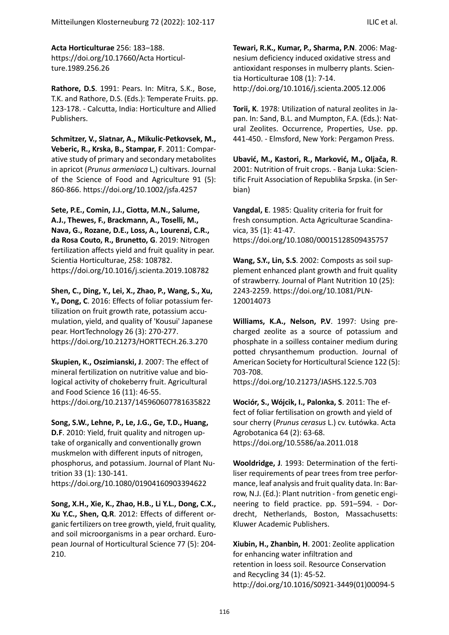**Acta Horticulturae** 256: 183-188.

https://doi.org[/10.17660/Acta Horticul](https://doi.org/10.17660/ActaHortic.1989.256.26)[ture.1989.256.26](https://doi.org/10.17660/ActaHortic.1989.256.26)

**Rathore, D.S**. 1991: Pears. In: Mitra, S.K., Bose, T.K. and Rathore, D.S. (Eds.): Temperate Fruits. pp. 123-178. - Calcutta, India: Horticulture and Allied Publishers.

**Schmitzer, V., Slatnar, A., Mikulic-Petkovsek, M., Veberic, R., Krska, B., Stampar, F**. 2011: Comparative study of primary and secondary metabolites in apricot (*Prunus armeniaca* L,) cultivars. Journal of the Science of Food and Agriculture 91 (5): 860-866. https://doi.org/10.1002/jsfa.4257

**Sete, P.E., Comin, J.J., Ciotta, M.N., Salume, A.J., Thewes, F., Brackmann, A., Toselli, M., Nava, G., Rozane, D.E., Loss, A., Lourenzi, C.R., da Rosa Couto, R., Brunetto, G**. 2019: Nitrogen fertilization affects yield and fruit quality in pear. Scientia Horticulturae, 258: 108782. https://doi.org/10.1016/j.scienta.2019.108782

**Shen, C., Ding, Y., Lei, X., Zhao, P., Wang, S., Xu, Y., Dong, C**. 2016: Effects of foliar potassium fertilization on fruit growth rate, potassium accumulation, yield, and quality of 'Kousui' Japanese pear. HortTechnology 26 (3): 270-277. <https://doi.org/10.21273/HORTTECH.26.3.270>

**Skupien, K., Oszimianski, J**. 2007: The effect of mineral fertilization on nutritive value and biological activity of chokeberry fruit. Agricultural and Food Science 16 (11): 46-55. https://doi.org[/10.2137/145960607781635822](http://dx.doi.org/10.2137/145960607781635822)

**Song, S.W., Lehne, P., Le, J.G., Ge, T.D., Huang, D.F**. 2010: Yield, fruit quality and nitrogen uptake of organically and conventionally grown muskmelon with different inputs of nitrogen, phosphorus, and potassium. Journal of Plant Nutrition 33 (1): 130-141.

<https://doi.org/10.1080/01904160903394622>

**Song, X.H., Xie, K., Zhao, H.B., Li Y.L., Dong, C.X., Xu Y.C., Shen, Q.R**. 2012: Effects of different organic fertilizers on tree growth, yield, fruit quality, and soil microorganisms in a pear orchard. European Journal of Horticultural Science 77 (5): 204- 210.

**Tewari, R.K., Kumar, P., Sharma, P.N**. 2006: Magnesium deficiency induced oxidative stress and antioxidant responses in mulberry plants. Scientia Horticulturae 108 (1): 7-14. http://doi.org[/10.1016/j.scienta.2005.12.006](http://dx.doi.org/10.1016/j.scienta.2005.12.006)

**Torii, K**. 1978: Utilization of natural zeolites in Japan. In: Sand, B.L. and Mumpton, F.A. (Eds.): Natural Zeolites. Occurrence, Properties, Use. pp. 441-450. - Elmsford, New York: Pergamon Press.

**Ubavić, M., Kastori, R., Marković, M., Oljača, R**. 2001: Nutrition of fruit crops. - Banja Luka: Scientific Fruit Association of Republika Srpska. (in Serbian)

**Vangdal, E**. 1985: Quality criteria for fruit for fresh consumption. Acta Agriculturae Scandinavica, 35 (1): 41-47. <https://doi.org/10.1080/00015128509435757>

**Wang, S.Y., Lin, S.S**. 2002: Composts as soil supplement enhanced plant growth and fruit quality of strawberry. Journal of Plant Nutrition 10 (25): 2243-2259. [https://doi.org/10.1081/PLN-](https://doi.org/10.1081/PLN-120014073)[120014073](https://doi.org/10.1081/PLN-120014073)

**Williams, K.A., Nelson, P.V**. 1997: Using precharged zeolite as a source of potassium and phosphate in a soilless container medium during potted chrysanthemum production. Journal of American Society for Horticultural Science 122 (5): 703-708.

https://doi.org[/10.21273/JASHS.122.5.703](http://dx.doi.org/10.21273/JASHS.122.5.703)

**Wociór, S., Wójcik, I., Palonka, S**. 2011: The effect of foliar fertilisation on growth and yield of sour cherry (*Prunus cerasus* L.) cv. Łutówka. Acta Agrobotanica 64 (2): 63-68. https://doi.org[/10.5586/aa.2011.018](http://dx.doi.org/10.5586/aa.2011.018)

**Wooldridge, J**. 1993: Determination of the fertiliser requirements of pear trees from tree performance, leaf analysis and fruit quality data. In: Barrow, N.J. (Ed.): Plant nutrition - from genetic engineering to field practice. pp. 591–594. - Dordrecht, Netherlands, Boston, Massachusetts: Kluwer Academic Publishers.

**Xiubin, H., Zhanbin, H**. 2001: Zeolite application for enhancing water infiltration and retention in loess soil. Resource Conservation and Recycling 34 (1): 45-52. http://doi.org[/10.1016/S0921-3449\(01\)00094-5](https://www.researchgate.net/deref/http://dx.doi.org/10.1016/S0921-3449(01)00094-5?_sg%5B0%5D=Li7F0KXUBXksouORoFF2JInR4CuanO0FpkRSHhz5-khCJNEGkIbr1sUzVlMALnCAXNzwyDm7bhkT8LXeIj8PVK9J9g.F4SgaJycvhfDnDViRRqLutKSKqCqBOX98Su6NZbGk6vqTz7Sky8cZPli7zOwXn9QmDlXI7JwvK7Mr4SbVbg1AQ)